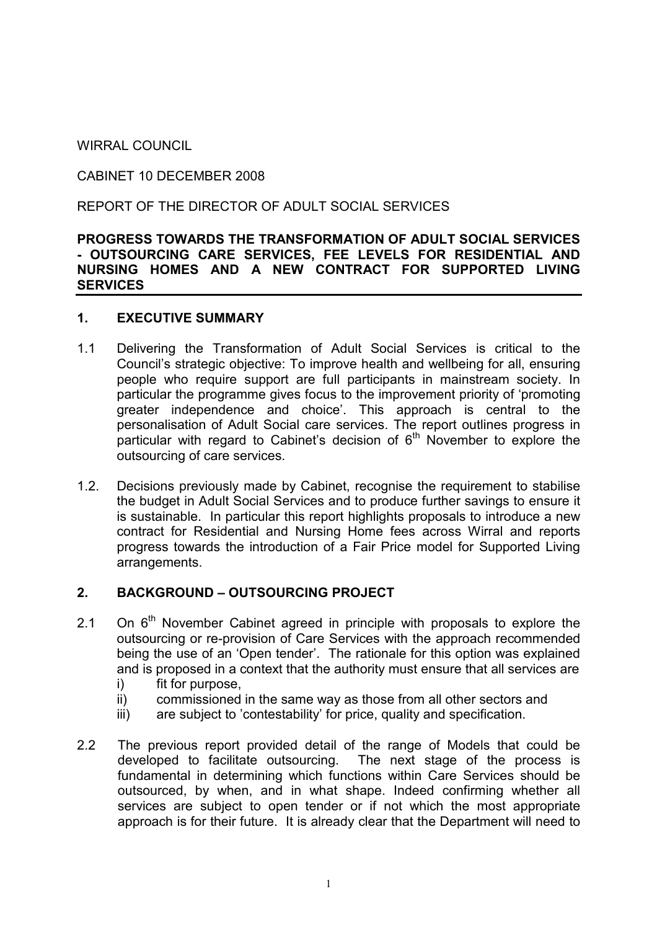WIRRAL COUNCIL

CABINET 10 DECEMBER 2008

REPORT OF THE DIRECTOR OF ADULT SOCIAL SERVICES

#### PROGRESS TOWARDS THE TRANSFORMATION OF ADULT SOCIAL SERVICES - OUTSOURCING CARE SERVICES, FEE LEVELS FOR RESIDENTIAL AND NURSING HOMES AND A NEW CONTRACT FOR SUPPORTED LIVING **SERVICES**

### 1. EXECUTIVE SUMMARY

- 1.1 Delivering the Transformation of Adult Social Services is critical to the Council's strategic objective: To improve health and wellbeing for all, ensuring people who require support are full participants in mainstream society. In particular the programme gives focus to the improvement priority of 'promoting greater independence and choice'. This approach is central to the personalisation of Adult Social care services. The report outlines progress in particular with regard to Cabinet's decision of  $6<sup>th</sup>$  November to explore the outsourcing of care services.
- 1.2. Decisions previously made by Cabinet, recognise the requirement to stabilise the budget in Adult Social Services and to produce further savings to ensure it is sustainable. In particular this report highlights proposals to introduce a new contract for Residential and Nursing Home fees across Wirral and reports progress towards the introduction of a Fair Price model for Supported Living arrangements.

### 2. BACKGROUND – OUTSOURCING PROJECT

- 2.1 On  $6<sup>th</sup>$  November Cabinet agreed in principle with proposals to explore the outsourcing or re-provision of Care Services with the approach recommended being the use of an 'Open tender'. The rationale for this option was explained and is proposed in a context that the authority must ensure that all services are
	- i) fit for purpose,
	- ii) commissioned in the same way as those from all other sectors and
	- iii) are subject to 'contestability' for price, quality and specification.
- 2.2 The previous report provided detail of the range of Models that could be developed to facilitate outsourcing. The next stage of the process is fundamental in determining which functions within Care Services should be outsourced, by when, and in what shape. Indeed confirming whether all services are subject to open tender or if not which the most appropriate approach is for their future. It is already clear that the Department will need to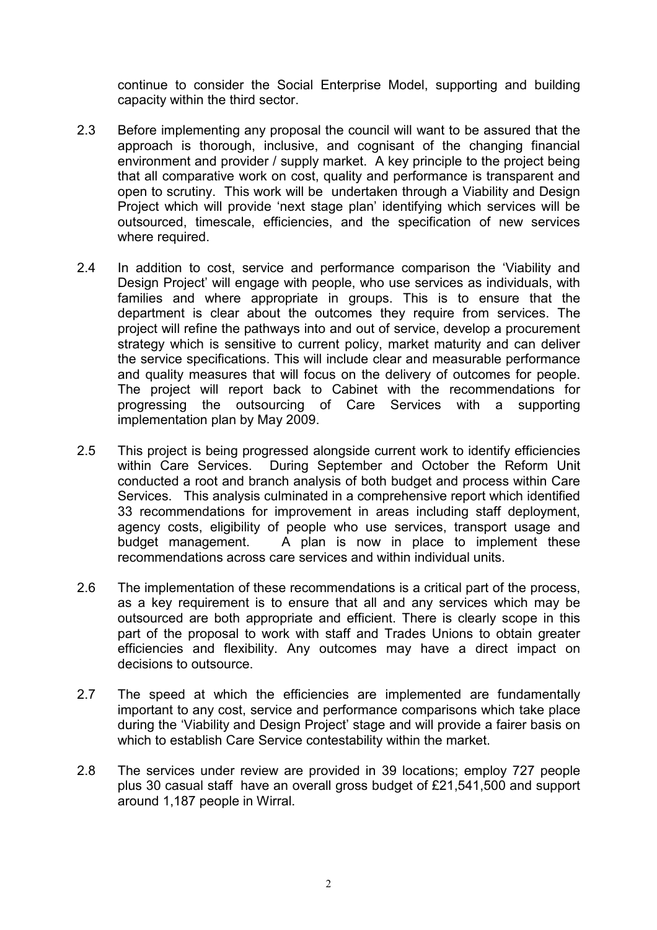continue to consider the Social Enterprise Model, supporting and building capacity within the third sector.

- 2.3 Before implementing any proposal the council will want to be assured that the approach is thorough, inclusive, and cognisant of the changing financial environment and provider / supply market. A key principle to the project being that all comparative work on cost, quality and performance is transparent and open to scrutiny. This work will be undertaken through a Viability and Design Project which will provide 'next stage plan' identifying which services will be outsourced, timescale, efficiencies, and the specification of new services where required.
- 2.4 In addition to cost, service and performance comparison the 'Viability and Design Project' will engage with people, who use services as individuals, with families and where appropriate in groups. This is to ensure that the department is clear about the outcomes they require from services. The project will refine the pathways into and out of service, develop a procurement strategy which is sensitive to current policy, market maturity and can deliver the service specifications. This will include clear and measurable performance and quality measures that will focus on the delivery of outcomes for people. The project will report back to Cabinet with the recommendations for progressing the outsourcing of Care Services with a supporting implementation plan by May 2009.
- 2.5 This project is being progressed alongside current work to identify efficiencies within Care Services. During September and October the Reform Unit conducted a root and branch analysis of both budget and process within Care Services. This analysis culminated in a comprehensive report which identified 33 recommendations for improvement in areas including staff deployment, agency costs, eligibility of people who use services, transport usage and budget management. A plan is now in place to implement these recommendations across care services and within individual units.
- 2.6 The implementation of these recommendations is a critical part of the process, as a key requirement is to ensure that all and any services which may be outsourced are both appropriate and efficient. There is clearly scope in this part of the proposal to work with staff and Trades Unions to obtain greater efficiencies and flexibility. Any outcomes may have a direct impact on decisions to outsource.
- 2.7 The speed at which the efficiencies are implemented are fundamentally important to any cost, service and performance comparisons which take place during the 'Viability and Design Project' stage and will provide a fairer basis on which to establish Care Service contestability within the market.
- 2.8 The services under review are provided in 39 locations; employ 727 people plus 30 casual staff have an overall gross budget of £21,541,500 and support around 1,187 people in Wirral.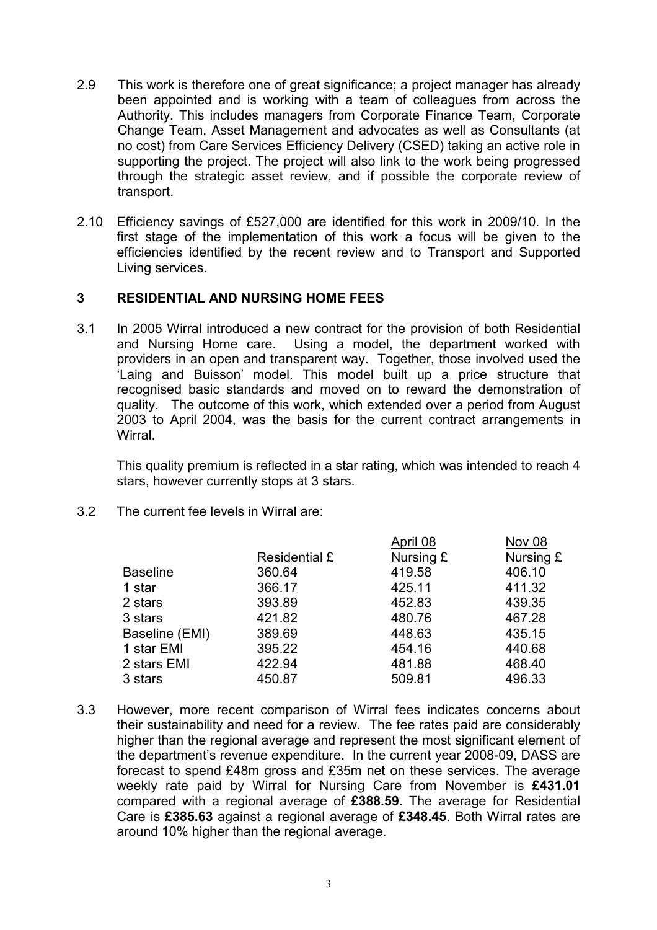- 2.9 This work is therefore one of great significance; a project manager has already been appointed and is working with a team of colleagues from across the Authority. This includes managers from Corporate Finance Team, Corporate Change Team, Asset Management and advocates as well as Consultants (at no cost) from Care Services Efficiency Delivery (CSED) taking an active role in supporting the project. The project will also link to the work being progressed through the strategic asset review, and if possible the corporate review of transport.
- 2.10 Efficiency savings of £527,000 are identified for this work in 2009/10. In the first stage of the implementation of this work a focus will be given to the efficiencies identified by the recent review and to Transport and Supported Living services.

### 3 RESIDENTIAL AND NURSING HOME FEES

3.1 In 2005 Wirral introduced a new contract for the provision of both Residential and Nursing Home care. Using a model, the department worked with providers in an open and transparent way. Together, those involved used the 'Laing and Buisson' model. This model built up a price structure that recognised basic standards and moved on to reward the demonstration of quality. The outcome of this work, which extended over a period from August 2003 to April 2004, was the basis for the current contract arrangements in Wirral.

 This quality premium is reflected in a star rating, which was intended to reach 4 stars, however currently stops at 3 stars.

3.2 The current fee levels in Wirral are:

|               | April 08  | <b>Nov 08</b> |
|---------------|-----------|---------------|
| Residential £ | Nursing £ | Nursing £     |
| 360.64        | 419.58    | 406.10        |
| 366.17        | 425.11    | 411.32        |
| 393.89        | 452.83    | 439.35        |
| 421.82        | 480.76    | 467.28        |
| 389.69        | 448.63    | 435.15        |
| 395.22        | 454.16    | 440.68        |
| 422.94        | 481.88    | 468.40        |
| 450.87        | 509.81    | 496.33        |
|               |           |               |

3.3 However, more recent comparison of Wirral fees indicates concerns about their sustainability and need for a review. The fee rates paid are considerably higher than the regional average and represent the most significant element of the department's revenue expenditure. In the current year 2008-09, DASS are forecast to spend £48m gross and £35m net on these services. The average weekly rate paid by Wirral for Nursing Care from November is £431.01 compared with a regional average of £388.59. The average for Residential Care is £385.63 against a regional average of £348.45. Both Wirral rates are around 10% higher than the regional average.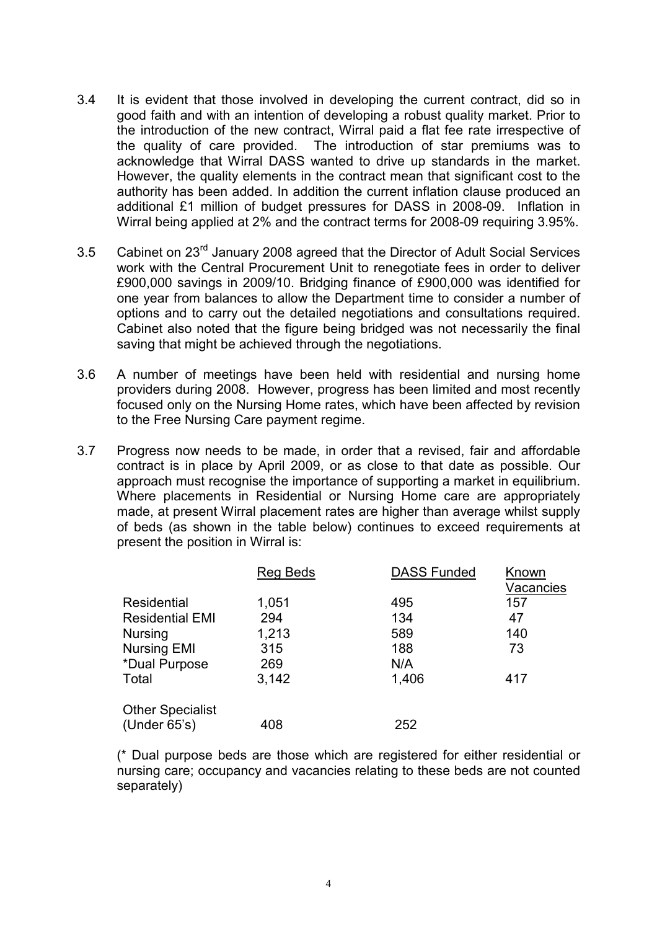- 3.4 It is evident that those involved in developing the current contract, did so in good faith and with an intention of developing a robust quality market. Prior to the introduction of the new contract, Wirral paid a flat fee rate irrespective of the quality of care provided. The introduction of star premiums was to acknowledge that Wirral DASS wanted to drive up standards in the market. However, the quality elements in the contract mean that significant cost to the authority has been added. In addition the current inflation clause produced an additional £1 million of budget pressures for DASS in 2008-09. Inflation in Wirral being applied at 2% and the contract terms for 2008-09 requiring 3.95%.
- 3.5 Cabinet on 23rd January 2008 agreed that the Director of Adult Social Services work with the Central Procurement Unit to renegotiate fees in order to deliver £900,000 savings in 2009/10. Bridging finance of £900,000 was identified for one year from balances to allow the Department time to consider a number of options and to carry out the detailed negotiations and consultations required. Cabinet also noted that the figure being bridged was not necessarily the final saving that might be achieved through the negotiations.
- 3.6 A number of meetings have been held with residential and nursing home providers during 2008. However, progress has been limited and most recently focused only on the Nursing Home rates, which have been affected by revision to the Free Nursing Care payment regime.
- 3.7 Progress now needs to be made, in order that a revised, fair and affordable contract is in place by April 2009, or as close to that date as possible. Our approach must recognise the importance of supporting a market in equilibrium. Where placements in Residential or Nursing Home care are appropriately made, at present Wirral placement rates are higher than average whilst supply of beds (as shown in the table below) continues to exceed requirements at present the position in Wirral is:

|                         | <b>Reg Beds</b> | <b>DASS Funded</b> | Known<br>Vacancies |
|-------------------------|-----------------|--------------------|--------------------|
| Residential             | 1,051           | 495                | 157                |
| <b>Residential EMI</b>  | 294             | 134                | 47                 |
| <b>Nursing</b>          | 1,213           | 589                | 140                |
| <b>Nursing EMI</b>      | 315             | 188                | 73                 |
| *Dual Purpose           | 269             | N/A                |                    |
| Total                   | 3.142           | 1,406              | 417                |
| <b>Other Specialist</b> |                 |                    |                    |
| (Under $65's$ )         | 408             | 252                |                    |

 (\* Dual purpose beds are those which are registered for either residential or nursing care; occupancy and vacancies relating to these beds are not counted separately)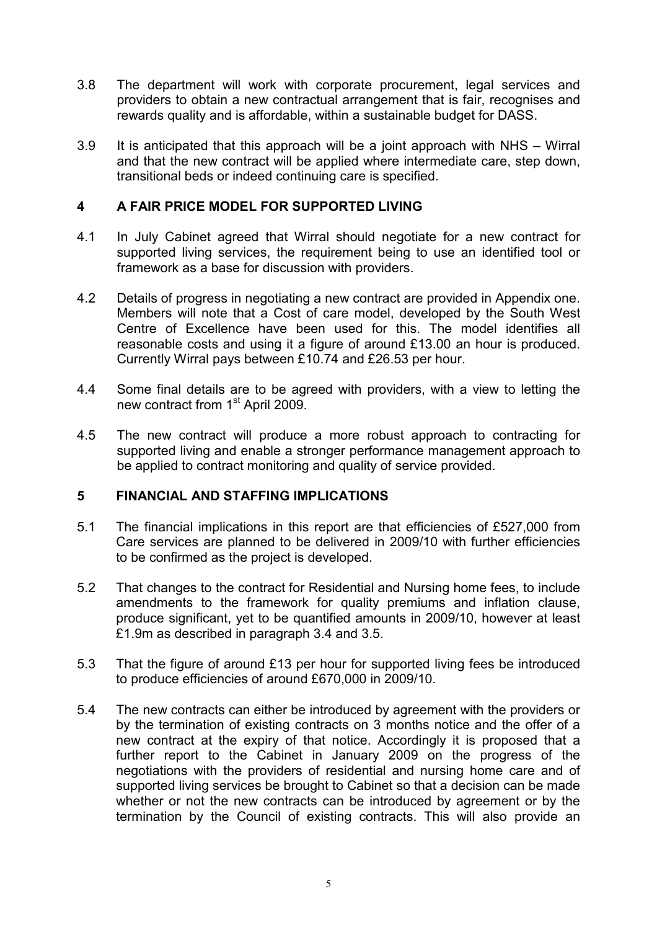- 3.8 The department will work with corporate procurement, legal services and providers to obtain a new contractual arrangement that is fair, recognises and rewards quality and is affordable, within a sustainable budget for DASS.
- 3.9 It is anticipated that this approach will be a joint approach with NHS Wirral and that the new contract will be applied where intermediate care, step down, transitional beds or indeed continuing care is specified.

## 4 A FAIR PRICE MODEL FOR SUPPORTED LIVING

- 4.1 In July Cabinet agreed that Wirral should negotiate for a new contract for supported living services, the requirement being to use an identified tool or framework as a base for discussion with providers.
- 4.2 Details of progress in negotiating a new contract are provided in Appendix one. Members will note that a Cost of care model, developed by the South West Centre of Excellence have been used for this. The model identifies all reasonable costs and using it a figure of around £13.00 an hour is produced. Currently Wirral pays between £10.74 and £26.53 per hour.
- 4.4 Some final details are to be agreed with providers, with a view to letting the new contract from 1<sup>st</sup> April 2009.
- 4.5 The new contract will produce a more robust approach to contracting for supported living and enable a stronger performance management approach to be applied to contract monitoring and quality of service provided.

### 5 FINANCIAL AND STAFFING IMPLICATIONS

- 5.1 The financial implications in this report are that efficiencies of £527,000 from Care services are planned to be delivered in 2009/10 with further efficiencies to be confirmed as the project is developed.
- 5.2 That changes to the contract for Residential and Nursing home fees, to include amendments to the framework for quality premiums and inflation clause, produce significant, yet to be quantified amounts in 2009/10, however at least £1.9m as described in paragraph 3.4 and 3.5.
- 5.3 That the figure of around £13 per hour for supported living fees be introduced to produce efficiencies of around £670,000 in 2009/10.
- 5.4 The new contracts can either be introduced by agreement with the providers or by the termination of existing contracts on 3 months notice and the offer of a new contract at the expiry of that notice. Accordingly it is proposed that a further report to the Cabinet in January 2009 on the progress of the negotiations with the providers of residential and nursing home care and of supported living services be brought to Cabinet so that a decision can be made whether or not the new contracts can be introduced by agreement or by the termination by the Council of existing contracts. This will also provide an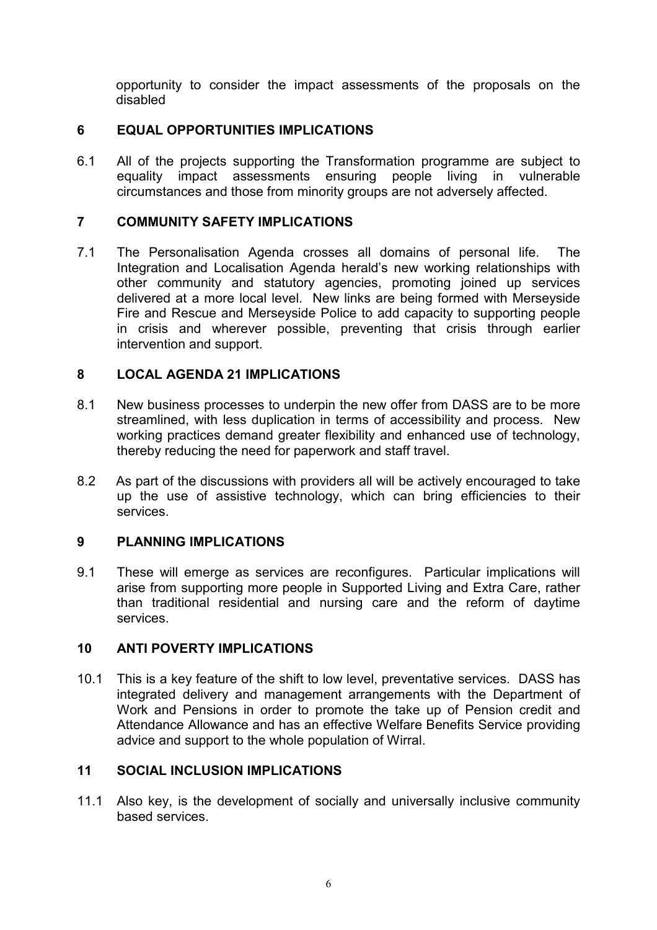opportunity to consider the impact assessments of the proposals on the disabled

# 6 EQUAL OPPORTUNITIES IMPLICATIONS

6.1 All of the projects supporting the Transformation programme are subject to equality impact assessments ensuring people living in vulnerable circumstances and those from minority groups are not adversely affected.

### 7 COMMUNITY SAFETY IMPLICATIONS

7.1 The Personalisation Agenda crosses all domains of personal life. The Integration and Localisation Agenda herald's new working relationships with other community and statutory agencies, promoting joined up services delivered at a more local level. New links are being formed with Merseyside Fire and Rescue and Merseyside Police to add capacity to supporting people in crisis and wherever possible, preventing that crisis through earlier intervention and support.

## 8 LOCAL AGENDA 21 IMPLICATIONS

- 8.1 New business processes to underpin the new offer from DASS are to be more streamlined, with less duplication in terms of accessibility and process. New working practices demand greater flexibility and enhanced use of technology, thereby reducing the need for paperwork and staff travel.
- 8.2 As part of the discussions with providers all will be actively encouraged to take up the use of assistive technology, which can bring efficiencies to their services.

### 9 PLANNING IMPLICATIONS

9.1 These will emerge as services are reconfigures. Particular implications will arise from supporting more people in Supported Living and Extra Care, rather than traditional residential and nursing care and the reform of daytime services.

### 10 ANTI POVERTY IMPLICATIONS

10.1 This is a key feature of the shift to low level, preventative services. DASS has integrated delivery and management arrangements with the Department of Work and Pensions in order to promote the take up of Pension credit and Attendance Allowance and has an effective Welfare Benefits Service providing advice and support to the whole population of Wirral.

### 11 SOCIAL INCLUSION IMPLICATIONS

11.1 Also key, is the development of socially and universally inclusive community based services.